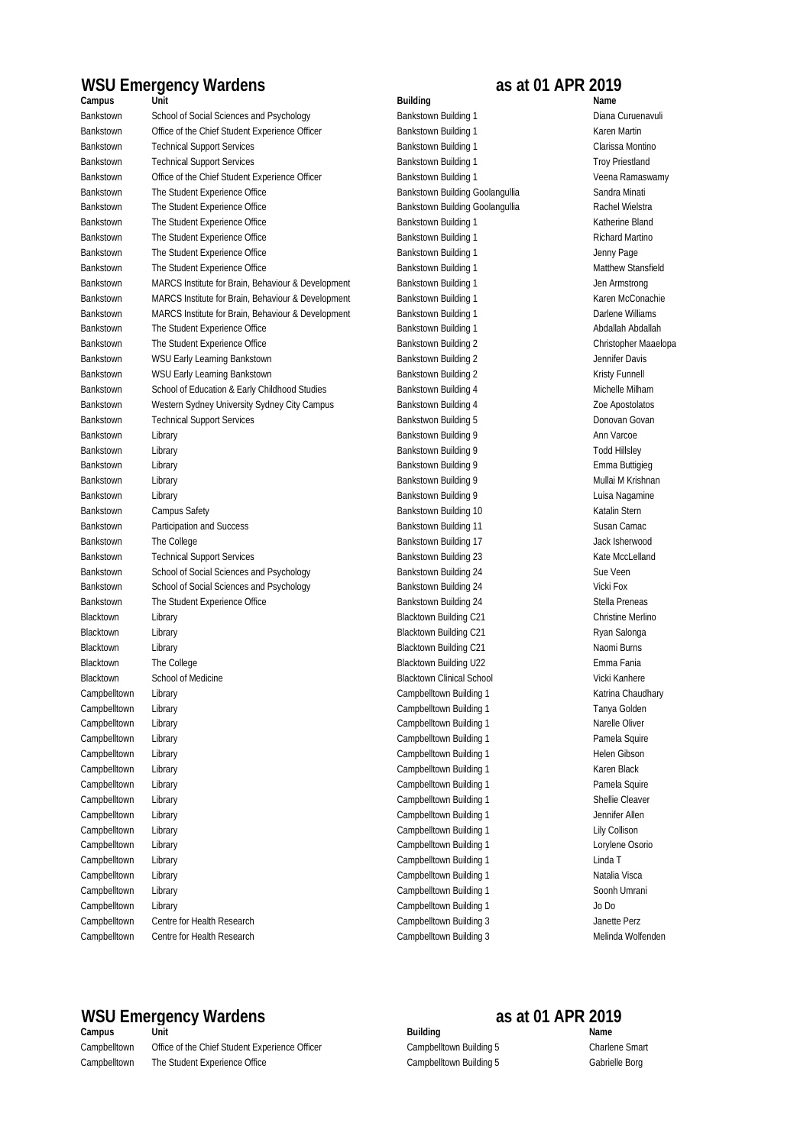## **WSU Emergency Wardens as at 01 APR 2019**

Campbelltown Centre for Health Research Campbelltown Building 3 Janette Perz Campbelltown Centre for Health Research Campbelltown Building 3 Campbelltown Building 3 Melinda Wolfenden Campbelltown Library Campbelltown Building 1 Lorylene Osorio Campbelltown Library Campbelltown Building 1 Linda T Campbelltown Library Campbelltown Building 1 Natalia Visca Campbelltown Library Campbelltown Building 1 Soonh Umrani Campbelltown Library Campbelltown Building 1 Jo Do Campbelltown Library Campbelltown Building 1 Karen Black Campbelltown Library Campbelltown Building 1 Pamela Squire Campbelltown Library Campbelltown Building 1 Shellie Cleaver Campbelltown Library Campbelltown Building 1 Jennifer Allen Campbelltown Library Campbelltown Europe Campbelltown Building 1 Lily Collison Campbelltown Library Campbelltown Building 1 Katrina Chaudhary Campbelltown Library Campbelltown Building 1 Tanya Golden Campbelltown Library Campbelltown Building 1 Narelle Oliver Campbelltown Library Campbelltown Building 1 Pamela Squire Campbelltown Library Campbelltown Building 1 Helen Gibson Blacktown Library Library Christine Merlino Christine Merlino Blacktown Building C21 Christine Merlino Blacktown Library Library Charles and Charles Blacktown Building C21 Ryan Salonga Blacktown Library Library Chronic Communisty Blacktown Building C21 Naomi Burns Naomi Burns Blacktown The College The College College Emma Fania Blacktown School of Medicine School School School Blacktown Clinical School Vicki Kanhere Bankstown The College The College College Bankstown Building 17 College Bankstown Building 17 Jack Isherwood Bankstown Technical Support Services and Services Bankstown Building 23 Kate MccLelland Bankstown School of Social Sciences and Psychology Bankstown Building 24 Sue Veen Bankstown School of Social Sciences and Psychology Bankstown Building 24 Vicki Fox Bankstown The Student Experience Office Stella Preneas Bankstown Building 24 Stella Preneas Bankstown Library **Emma Buttigieg** Emma Buttigieg **Bankstown Building 9** Emma Buttigieg Bankstown Library Chronic Chronic Bankstown Building 9 Mullai M Krishnan Bankstown Library Library Bankstown Building 9 Luisa Nagamine Bankstown Campus Safety Campus Safety Bankstown Building 10 Katalin Stern Building 10 Katalin Stern Bankstown Participation and Success **Bankstown Building 11** Susan Camac Bankstown School of Education & Early Childhood Studies Bankstown Building 4 Michelle Milham Bankstown Western Sydney University Sydney City Campus Bankstown Building 4 Zoe Apostolatos Bankstown Technical Support Services **Bankstwon Building 5** Donovan Govan Govan Govan Bankstown Library **Contract Contract Contract Contract Contract Contract Contract Contract Contract Contract Contract Contract Contract Contract Contract Contract Contract Contract Contract Contract Contract Contract Contr** Bankstown Library Charles and Charles Bankstown Building 9 and Todd Hillsley Bankstown MARCS Institute for Brain, Behaviour & Development Bankstown Building 1 Darlene Williams Bankstown The Student Experience Office Student Students and Bankstown Building 1 Abdallah Abdallah Abdallah Bankstown The Student Experience Office Superinter Bankstown Building 2 Christopher Maaelopa Bankstown WSU Early Learning Bankstown **Bankstown Building 2** Jennifer Davis Bankstown WSU Early Learning Bankstown **Bankstown Bankstown Building 2** Kristy Funnell Bankstown The Student Experience Office Student Bankstown Building 1 Bankstown Building 1 Richard Martino Bankstown The Student Experience Office Superinter Bankstown Building 1 and Student Bankstown Building 1 Jenny Page Bankstown The Student Experience Office Student Bankstown Building 1 Matthew Stansfield Bankstown Building 1 Matthew Stansfield Bankstown MARCS Institute for Brain, Behaviour & Development Bankstown Building 1 Jen Armstrong Bankstown MARCS Institute for Brain, Behaviour & Development Bankstown Building 1 Karen McConachie Bankstown Technical Support Services and the Sankstown Building 1 Troy Priestland Troy Priestland Bankstown Office of the Chief Student Experience Officer Bankstown Building 1 Student Building 1 Veena Ramaswamy Bankstown The Student Experience Office Superintent Bankstown Building Goolangullia Sandra Minati Bankstown The Student Experience Office Student Bankstown Building Goolangullia Rachel Wielstra Bankstown The Student Experience Office Student Bankstown Building 1 Bankstown Building 1 Katherine Bland **Campus Unit Building Name** Bankstown School of Social Sciences and Psychology Bankstown Building 1 Diana Curuenavuli Bankstown Office of the Chief Student Experience Officer Bankstown Building 1 Karen Martin Bankstown Technical Support Services and Support Services Bankstown Building 1 Clarissa Montino

# WSU Emergency Wardens<br> **Campus** as at 01 APR 2019<br> **Building as at 01 APR 2019**

**Campus Unit Name** Campbelltown Office of the Chief Student Experience Officer Campbelltown Building 5 Charlene Smart Campbelltown The Student Experience Office Campbelltown Building 5 Campbelltown Building 5 Cabrielle Borg

**Building** Campbelltown Building 5 Campbelltown Building 5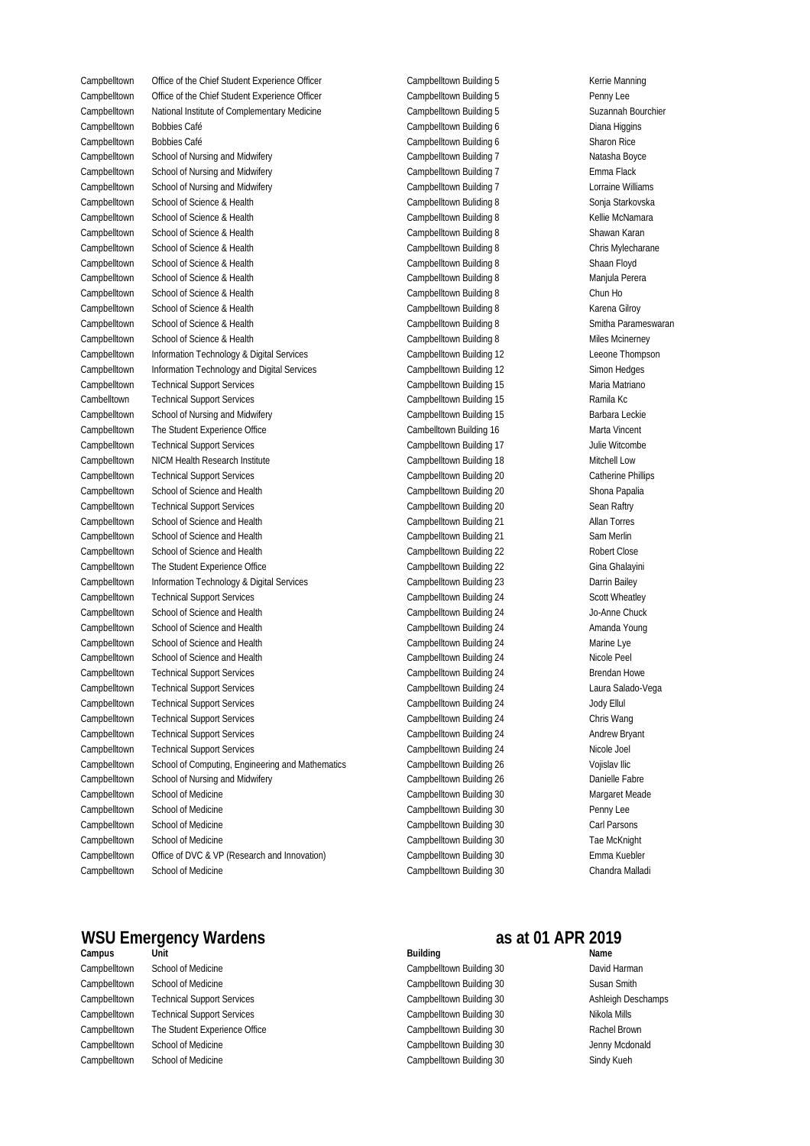Campbelltown Building 6 Campbelltown Bobbies Café Diana Higgins Campbelltown Bobbies Café **Sharon Rice and Campbelltown Building 6** Sharon Rice Sharon Rice Campbelltown School of Science & Health Shawan Karan Shawan Karan Shawan Karan Shawan Karan Shawan Karan Shawan Karan Campbelltown School of Science & Health **Chris Mylecharane** Campbelltown Building 8 Chris Mylecharane Campbelltown School of Medicine Margaret Meade (Campbelltown Building 30 Margaret Meade Margaret Meade Margaret Meade Campbelltown Building 30 Campbelltown School of Medicine Penny Lee Campbelltown Building 30 Campbelltown School of Medicine Carl Parsons Campbelltown Building 30 Campbelltown School of Medicine Tae McKnight Campbelltown Building 30 Campbelltown School of Medicine Chandra Malladi Campbelltown Office of DVC & VP (Research and Innovation) Campbelltown Building 30 Emma Kuebler Campbelltown Technical Support Services Chris Wang Campbelltown Building 24 Chris Wang Chris Wang Campbelltown Technical Support Services and the Campbelltown Building 24 and the Andrew Bryant Campbelltown Technical Support Services and the Campbelltown Building 24 Nicole Joel Nicole Joel Campbelltown School of Computing, Engineering and Mathematics Campbelltown Building 26 Vojislav Ilic Campbelltown School of Nursing and Midwifery **Campbelltown Building 26** Danielle Fabre Campbelltown School of Science and Health Amanda Young Campbelltown Building 24 Campbelltown Building 24 Amanda Young Campbelltown School of Science and Health Marine Lye Campbelltown Building 24 Marine Lye Campbelltown School of Science and Health Nicole Peel School of Science and Health Nicole Peel School of Science and Health Nicole Peel Campbelltown Technical Support Services example of the Campbelltown Building 24 Brendan Howe Campbelltown Technical Support Services Campbelltown Building 24 Laura Salado-Vega Campbelltown Technical Support Services Jody Ellul Campbelltown School of Science and Health Sam Merlin Sam Merlin Sam Merlin Sam Merlin Sam Merlin Campbelltown School of Science and Health **Robert Close** Campbelltown Building 22 Campbelltown The Student Experience Office Superintent Campbelltown Building 22 Gina Ghalayini Campbelltown Information Technology & Digital Services Campbelltown Building 23 Darrin Bailey Campbelltown Technical Support Services extending the Campbelltown Building 24 Scott Wheatley Campbelltown School of Science and Health **Jo-Anne Chuck** Campbelltown Building 24 Jo-Anne Chuck Campbelltown Technical Support Services and the Campbelltown Building 17 Julie Witcombe Campbelltown NICM Health Research Institute Mitchell Low Campbelltown Building 18 Mitchell Low Campbelltown Technical Support Services Catherine Phillips Catherine Phillips Catherine Phillips Campbelltown School of Science and Health Shona Papalia Shona Papalia Campbelltown Building 20 Shona Papalia Campbelltown Technical Support Services Sean Raftry Campbelltown Building 20 Sean Raftry Campbelltown School of Science and Health Allan Torres Campbelltown Building 21 Allan Torres Campbelltown Information Technology & Digital Services Campbelltown Building 12 Leeone Thompson Campbelltown Information Technology and Digital Services Campbelltown Building 12 Simon Hedges Campbelltown Technical Support Services and the Campbelltown Building 15 Maria Matriano Cambelltown Technical Support Services **Ramila Kc** Campbelltown Building 15 Ramila Kc Campbelltown School of Nursing and Midwifery **Barbara Leckie** Campbelltown Building 15 Barbara Leckie Campbelltown The Student Experience Office **Marta Vincent** Cambelltown Building 16 Marta Vincent Campbelltown School of Science & Health Shaan Floyd Shaan Floyd Shaan Floyd Shaan Floyd Campbelltown School of Science & Health Manjula Perera Campbelltown Building 8 Manjula Perera Campbelltown School of Science & Health Campbelltown Building 8 Chun Ho Campbelltown School of Science & Health Campbelltown Building 8 Campbelltown Building 8 Campbelltown School of Science & Health School of Science & Health Smitha Parameswaran Campbelltown Building 8 Campbelltown School of Science & Health Miles Mcinerney Campbelltown Building 8 Miles Mcinerney Campbelltown School of Nursing and Midwifery **Emma Flack** Campbelltown Building 7 Campbelltown School of Nursing and Midwifery Campbelltown Building 7 Campbelltown Building 7 Lorraine Williams Campbelltown School of Science & Health Sonja Starkovska Campbelltown Buliding 8 Sonja Starkovska Campbelltown School of Science & Health Campbelltown Building 8 Campbelltown Building 8 Campbelltown Office of the Chief Student Experience Officer Campbelltown Building 5 Kerrie Manning Campbelltown Office of the Chief Student Experience Officer Campbelltown Building 5 Penny Lee Campbelltown National Institute of Complementary Medicine Suzannah Bourchier Campbelltown Building 5 Suzannah Bourchier Campbelltown School of Nursing and Midwifery **Natage School of School of Australian** Boyce Campbelltown Building 7

Campbelltown Building 5 Campbelltown Building 5 Campbelltown Building 5 Campbelltown Building 7 Campbelltown Building 7 Campbelltown Building 7 Campbelltown Buliding 8 Campbelltown Building 8 Campbelltown Building 8 Campbelltown Building 8 Campbelltown Building 8 Campbelltown Building 8 Campbelltown Building 8 Campbelltown Building 8 Campbelltown Building 12 Campbelltown Building 12 Campbelltown Building 15 Campbelltown Building 15 Campbelltown Building 15 Cambelltown Building 16 Campbelltown Building 17 Campbelltown Building 18 Campbelltown Building 20 Campbelltown Building 20 Campbelltown Building 20 Campbelltown Building 21 Campbelltown Building 21 Campbelltown Building 22 Campbelltown Building 22 Campbelltown Building 23 Campbelltown Building 24 Campbelltown Building 24 Campbelltown Building 24 Campbelltown Building 24 Campbelltown Building 24 Campbelltown Building 24 Campbelltown Building 24 Campbelltown Building 24 Campbelltown Building 24 Campbelltown Building 24 Campbelltown Building 24 Campbelltown Building 26 Campbelltown Building 26 Campbelltown Building 30

## WSU Emergency Wardens<br> **Examples as at 01 APR 2019**<br> **Alleng as at 01 APR 2019**

Campbelltown School of Medicine Campbelltown Building 30 David Harman Campbelltown School of Medicine New Susan Smith Susan Smith Susan Smith Susan Smith Susan Smith Susan Smith Susan Smith Campbelltown Building 30 Campbelltown School of Medicine Jenny Mcdonald Campbelltown School of Medicine New State State State State State State State State State State State State St Campbelltown Technical Support Services Campbelltown Building 30 Ashleigh Deschamps Campbelltown Technical Support Services and Campbelltown Building 30 Nikola Mills Campbelltown The Student Experience Office Cample Campbelltown Building 30 Rachel Brown

**Building** Campbelltown Building 30 Campbelltown Building 30 Campbelltown Building 30

# **Campus Unit Name**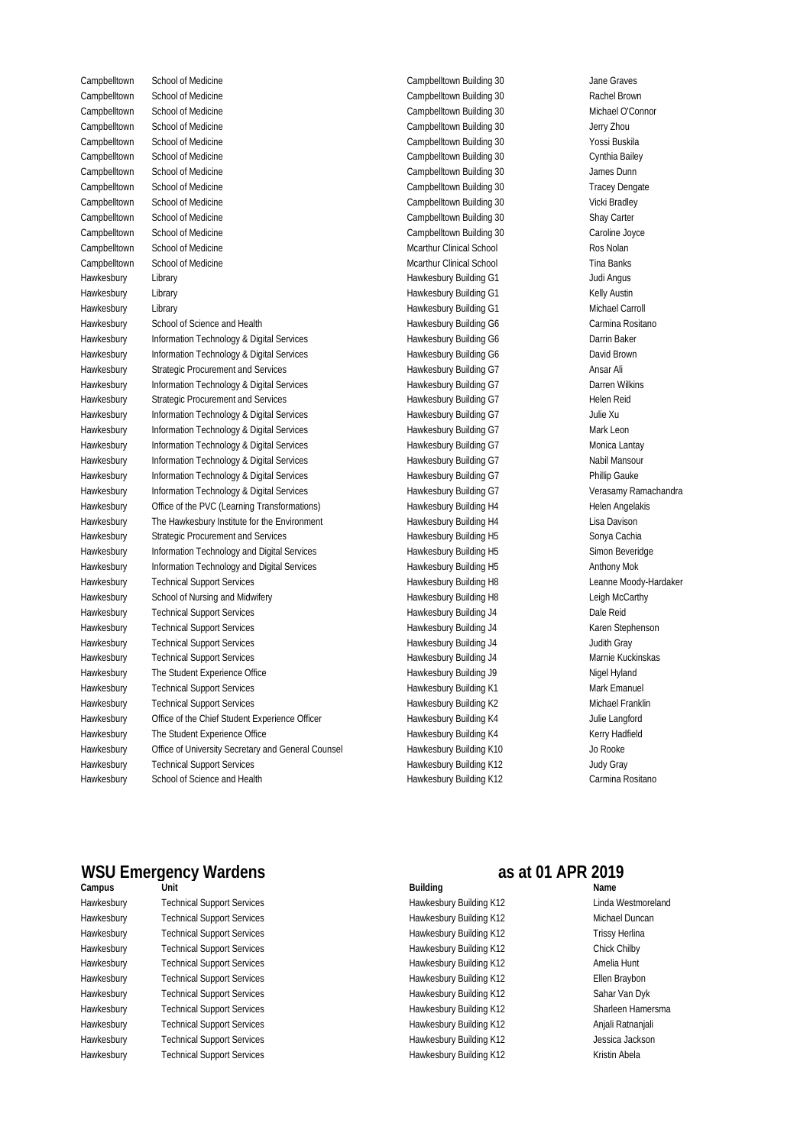Hawkesbury School of Science and Health Carmina Rositano Carmina Rositano Carmina Rositano

Campbelltown Building 30 Campbelltown School of Medicine Jane Graves Campbelltown School of Medicine Rachel Brown Campbelltown Building 30 Rachel Brown Rachel Brown Campbelltown Building 30 Campbelltown School of Medicine Michael O'Connor Campbelltown Building 30 Campbelltown School of Medicine Jerry ZhouCampbelltown Building 30 Campbelltown School of Medicine Yossi Buskila Campbelltown Building 30 Campbelltown School of Medicine Cynthia Bailey Campbelltown Building 30 Campbelltown School of Medicine James Dunn Campbelltown Building 30 Campbelltown School of Medicine Tracey Dengate Campbelltown Building 30 Campbelltown School of Medicine Vicki Bradley Campbelltown Building 30 Campbelltown School of Medicine Shay Carter Campbelltown Building 30 Campbelltown School of Medicine Caroline Joyce Mcarthur Clinical School Campbelltown School of Medicine Ros Nolan Mcarthur Clinical School Campbelltown School of Medicine Tina Banks Hawkesbury Building G1 Hawkesbury Library Judi Angus Hawkesbury Building G1 Hawkesbury Library Kelly Austin Hawkesbury Building G1 Hawkesbury Library Michael Carroll Hawkesbury Technical Support Services The State of Hawkesbury Building K12 Judy Gray Hawkesbury The Student Experience Office Nigel Hyland Hawkesbury Building J9 Nigel Hyland Hawkesbury Technical Support Services and the Mark Emanuel Hawkesbury Building K1 and Mark Emanuel Hawkesbury Technical Support Services and the Michael Franklin Hawkesbury Building K2 Michael Franklin Hawkesbury Office of the Chief Student Experience Officer Student American Hawkesbury Building K4 Julie Langford Hawkesbury The Student Experience Office Student Student Student Hawkesbury Building K4 Kerry Hadfield Hawkesbury Office of University Secretary and General Counsel Hawkesbury Building K10 Jo Rooke Hawkesbury Technical Support Services Contact Archives Hawkesbury Building H8 Leanne Moody-Hardaker Hawkesbury School of Nursing and Midwifery Channel Communisty Hawkesbury Building H8 Leigh McCarthy Hawkesbury Technical Support Services The Control of Hawkesbury Building J4 Dale Reid Hawkesbury Technical Support Services The Stephenson Claren Stephenson Hawkesbury Building J4 Karen Stephenson Hawkesbury Technical Support Services The Support Services Hawkesbury Building J4 Judith Gray Hawkesbury Technical Support Services and the Marnie Kuckinskas Marnie Kuckinskas Marnie Kuckinskas Hawkesbury Information Technology & Digital Services **Makesbury Building G7** Verasamy Ramachandra Hawkesbury Office of the PVC (Learning Transformations) Hawkesbury Building H4 Helen Angelakis Hawkesbury The Hawkesbury Institute for the Environment Charles Hawkesbury Building H4 Clisa Davison Hawkesbury Strategic Procurement and Services Sonya Cachia Hawkesbury Building H5 Sonya Cachia Hawkesbury Information Technology and Digital Services Show Hawkesbury Building H5 Simon Beveridge Hawkesbury Information Technology and Digital Services **Anthony Hawkesbury Building H5** Anthony Mok Hawkesbury Strategic Procurement and Services entertainment of Hawkesbury Building G7 Helen Reid Hawkesbury Information Technology & Digital Services Frank Hawkesbury Building G7 Julie Xu Hawkesbury Information Technology & Digital Services Mark Leon Hawkesbury Building G7 Mark Leon Hawkesbury Information Technology & Digital Services Monica Lantay Hawkesbury Building G7 Monica Lantay Hawkesbury Information Technology & Digital Services Nabil Mansour Hawkesbury Building G7 Nabil Mansour Hawkesbury Information Technology & Digital Services **Franking Building States** Hawkesbury Building G7 Phillip Gauke Hawkesbury School of Science and Health Carmina Rositano Carmina Rositano Carmina Rositano Hawkesbury Information Technology & Digital Services **Brown Baker** Hawkesbury Building G6 **Darrin Baker** Hawkesbury Information Technology & Digital Services **Brown Services** Hawkesbury Building G6 **David Brown** Hawkesbury Strategic Procurement and Services **Ansar Alice Strategie Constructs** Hawkesbury Building G7 Ansar Ali Hawkesbury Information Technology & Digital Services **Barry Communist Club Hawkesbury Building G7** Darren Wilkins

Hawkesbury Building G6 Hawkesbury Building G6 Hawkesbury Building G6 Hawkesbury Building G7 Hawkesbury Building G7 Hawkesbury Building G7 Hawkesbury Building G7 Hawkesbury Building G7 Hawkesbury Building G7 Hawkesbury Building G7 Hawkesbury Building G7 Hawkesbury Building G7 Hawkesbury Building H4 Hawkesbury Building H4 Hawkesbury Building H5 Hawkesbury Building H5 Hawkesbury Building H5 Hawkesbury Building H8 Hawkesbury Building H8 Hawkesbury Building J4 Hawkesbury Building J4 Hawkesbury Building J4 Hawkesbury Building J4 Hawkesbury Building J9 Hawkesbury Building K1 Hawkesbury Building K2 Hawkesbury Building K4 Hawkesbury Building K4 Hawkesbury Building K10 Hawkesbury Building K12

## WSU Emergency Wardens<br> **Examples as at 01 APR 2019**<br> **Building as at 01 APR 2019**

**Unit** Technical Support Services Hawkesbury Hawkesbury Building K12 Linda Westmoreland Technical Support Services Technical Support Services Hawkesbury Fechnical Support Services and the Chick Chilby Hawkesbury Building K12 Chick Chilby Chick Chilby Technical Support Services Technical Support Services Hawkesbury Hawkesbury Building K12 Ellen Braybon Hawkesbury Technical Support Services Hawkesbury Building K12 Sahar Van Dyk Hawkesbury Fechnical Support Services entitled and the Markesbury Building K12 Sharleen Hamersma Technical Support Services Hawkesbury Hawkesbury Building K12 Anjali Ratnanjali Technical Support Services Hawkesbury Hawkesbury Building K12 Jessica Jackson Hawkesbury Technical Support Services The Control of Hawkesbury Building K12 Trissy Herlina Hawkesbury Technical Support Services The Control of Hawkesbury Building K12 Amelia Hunt Hawkesbury Technical Support Services The Control of Hawkesbury Building K12 Michael Duncan

## **Campus Building Name**

Hawkesbury Building K12

Technical Support Services Hawkesbury Hawkesbury Building K12 Kristin Abela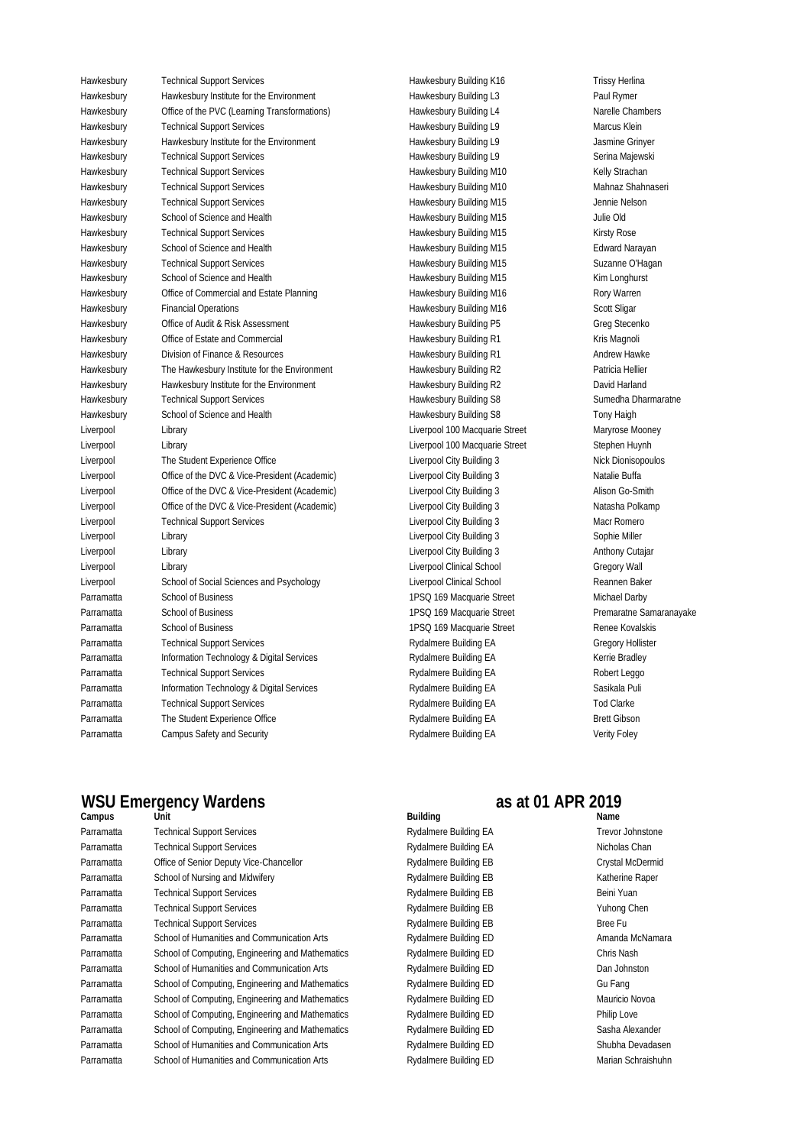Technical Support Services Hawkesbury Hawkesbury Building K16 Trissy Herlina Hawkesbury Bawkesbury Institute for the Environment Building L3 Hawkesbury Building L3 Paul Rymer Hawkesbury Office of the PVC (Learning Transformations) and Hawkesbury Building L4 Narelle Chambers Narelle Chambers Technical Support Services Hawkesbury Hawkesbury Building L9 Marcus Klein Hawkesbury Building and Hawkesbury Institute for the Environment **Frankling Hawkesbury Building L9** Jasmine Grinyer Technical Support Services Hawkesbury Hawkesbury Building L9 Serina Majewski Hawkesbury Technical Support Services Hawkesbury Building M10 Kelly Strachan Hawkesbury Fechnical Support Services and the state of the Hawkesbury Building M10 Mahnaz Shahnaseri Technical Support Services Hawkesbury Hawkesbury Building M15 Jennie Nelson School of Science and Health Hawkesbury Hawkesbury Building M15 Julie Old Technical Support Services School of Science and Health Hawkesbury Hawkesbury Building M15 Edward Narayan Technical Support Services Hawkesbury Hawkesbury Building M15 Suzanne O'Hagan School of Science and Health Hawkesbury Coffice of Commercial and Estate Planning Comment of Hawkesbury Building M16 Rory Warren Financial Operations Hawkesbury Office of Audit & Risk Assessment Hawkesbury Building P5 Greg Stecenko Office of Estate and Commercial Hawkesbury Hawkesbury Building R1 Kris Magnoli Division of Finance & Resources Hawkesbury Hawkesbury Building R1 Andrew Hawke Hawkesbury The Hawkesbury Institute for the Environment Netwire Hawkesbury Building R2 Natricia Hellier Hawkesbury Institute for the Environment Hawkesbury Hawkesbury Building R2 David Harland Technical Support Services Hawkesbury Hawkesbury Building S8 Sumedha Dharmaratne School of Science and Health Hawkesbury Hawkesbury Building S8 Tony Haigh Library Library The Student Experience Office Liverpool Liverpool City Building 3 Nick Dionisopoulos Office of the DVC & Vice-President (Academic) Liverpool Liverpool City Building 3 Natalie Buffa Office of the DVC & Vice-President (Academic) Liverpool Liverpool City Building 3 Alison Go-Smith Office of the DVC & Vice-President (Academic) Liverpool Liverpool City Building 3 Natasha Polkamp Technical Support Services Liverpool Liverpool City Building 3 Macr Romero Library Library Library School of Social Sciences and Psychology Liverpool Liverpool Clinical School Reannen Baker School of Business School of Business School of Business Technical Support Services Parramatta Rydalmere Building EA Gregory Hollister Information Technology & Digital Services Parramatta Rydalmere Building EA Kerrie Bradley Technical Support Services Parramatta Rydalmere Building EA Robert Leggo Information Technology & Digital Services Parramatta Rydalmere Building EA Sasikala Puli Technical Support Services Parramatta Rydalmere Building EA Tod Clarke The Student Experience Office Parramatta Rydalmere Building EA Brett Gibson Campus Safety and Security Parramatta Rydalmere Building EA Verity Foley Parramatta School of Business **1PSQ 169 Macquarie Street** Michael Darby Parramatta School of Business and the street 1PSQ 169 Macquarie Street Premaratne Samaranayake Parramatta School of Business and the street 1PSQ 169 Macquarie Street Renee Kovalskis Liverpool Liverpool City Building 3 Sophie Miller Liverpool Liverpool City Building 3 Anthony Cutajar Liverpool Clinical School Clinical School Clinical School Gregory Wall Liverpool Liverpool 100 Macquarie Street Maryrose Mooney Liverpool Liverpool 100 Macquarie Street Stephen Huynh Hawkesbury Financial Operations Content Content of Hawkesbury Building M16 Scott Sligar Hawkesbury Technical Support Services The Control of Hawkesbury Building M15 Kirsty Rose Hawkesbury School of Science and Health **Manual Communist Communist Communist Communist Communist Communist Communist Communist Communist Communist Communist Communist Communist Communist Communist Communist Communist Comm** 

## **Campus WSU Emergency Wardens as at 01 APR 2019**

Parramatta Parramatta Parramatta Parramatta Parramatta Parramatta Parramatta Parramatta Parramatta Parramatta Parramatta Parramatta Parramatta Parramatta Parramatta Parramatta School of Computing, Engineering and Mathematics **Rydalmere Building ED** Mauricio Novoa School of Computing, Engineering and Mathematics **Rydalmere Building ED** Philip Love School of Computing, Engineering and Mathematics **Rydalmere Building ED** Sasha Alexander School of Humanities and Communication Arts **Rydalmere Building ED** Shubha Devadasen School of Humanities and Communication Arts **Rydalmere Building ED** Marian Schraishuhn Technical Support Services and the Community Rydalmere Building EB Technical Support Services Technical Support Services and the Community of the Rydalmere Building EB Bree Full Services and Bree Full Services School of Humanities and Communication Arts **Rydalmere Building ED** Amanda McNamara School of Computing, Engineering and Mathematics Rydalmere Building ED Chris Nash School of Humanities and Communication Arts **Rydalmere Building ED** Dan Johnston School of Computing, Engineering and Mathematics **Rydalmere Building ED** Gu Fang **Unit Building Name** Technical Support Services and Trevor Johnstone Rydalmere Building EA Trevor Johnstone Technical Support Services **Rydalmere Building EA** Nicholas Chan Office of Senior Deputy Vice-Chancellor **Research Rydalmere Building EB** Crystal McDermid Crystal McDermid School of Nursing and Midwifery **Rydalmere Building EB** Katherine Raper Technical Support Services **Rydalmere Building EB** Beini Yuan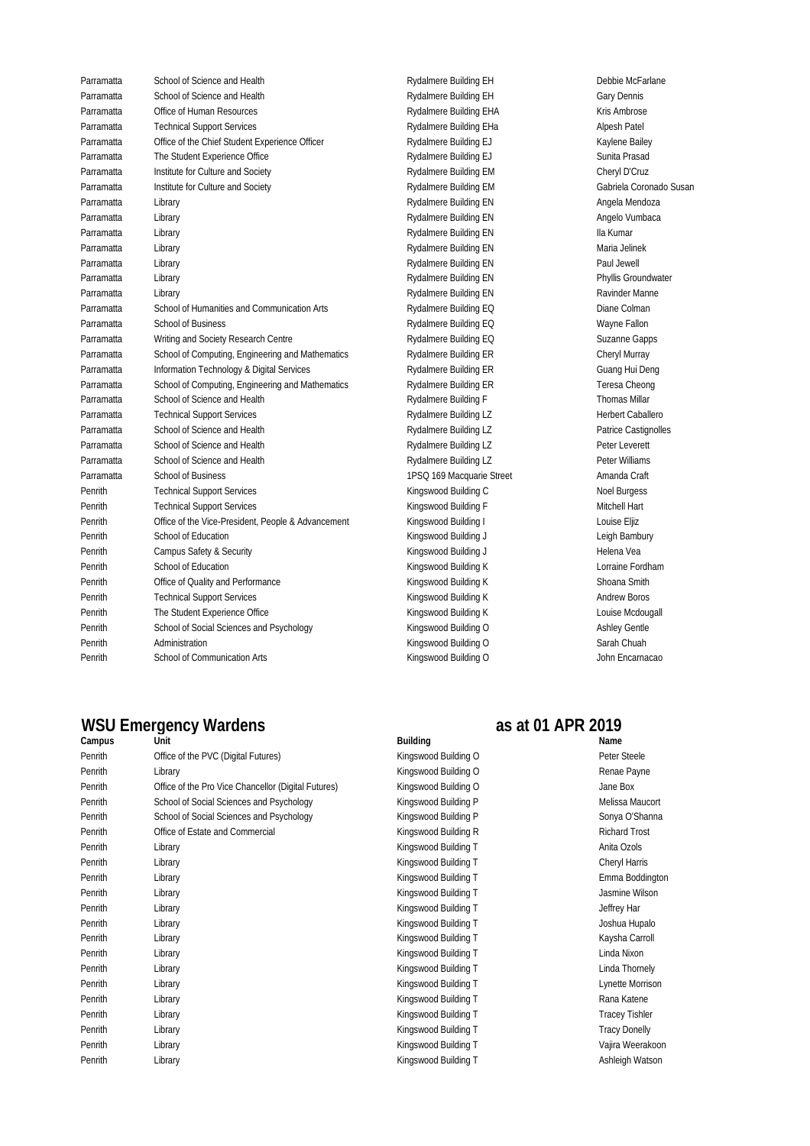| Parramatta | School of Science and Health                       |
|------------|----------------------------------------------------|
| Parramatta | School of Science and Health                       |
| Parramatta | Office of Human Resources                          |
| Parramatta | <b>Technical Support Services</b>                  |
| Parramatta | Office of the Chief Student Experience Officer     |
| Parramatta | The Student Experience Office                      |
| Parramatta | Institute for Culture and Society                  |
| Parramatta | Institute for Culture and Society                  |
| Parramatta | Library                                            |
| Parramatta | Library                                            |
| Parramatta | Library                                            |
| Parramatta | Library                                            |
| Parramatta | Library                                            |
| Parramatta | Library                                            |
| Parramatta | Library                                            |
| Parramatta | School of Humanities and Communication Arts        |
| Parramatta | <b>School of Business</b>                          |
| Parramatta | Writing and Society Research Centre                |
| Parramatta | School of Computing, Engineering and Mathematics   |
| Parramatta | Information Technology & Digital Services          |
| Parramatta | School of Computing, Engineering and Mathematics   |
| Parramatta | School of Science and Health                       |
| Parramatta | <b>Technical Support Services</b>                  |
| Parramatta | School of Science and Health                       |
| Parramatta | School of Science and Health                       |
| Parramatta | School of Science and Health                       |
| Parramatta | <b>School of Business</b>                          |
| Penrith    | <b>Technical Support Services</b>                  |
| Penrith    | <b>Technical Support Services</b>                  |
| Penrith    | Office of the Vice-President, People & Advancement |
| Penrith    | School of Education                                |
| Penrith    | Campus Safety & Security                           |
| Penrith    | School of Education                                |
| Penrith    | Office of Quality and Performance                  |
| Penrith    | <b>Technical Support Services</b>                  |
| Penrith    | The Student Experience Office                      |
| Penrith    | School of Social Sciences and Psychology           |
| Penrith    | Administration                                     |
| Penrith    | School of Communication Arts                       |

Kingswood Building O Sarah Chuah Kingswood Building O John Encarnacao Kingswood Building J **Kingswood Building J** Helena Vea Kingswood Building K **Lorraine Fordham** Kingswood Building K Shoana Smith Kingswood Building K Andrew Boros Kingswood Building K Louise Mcdougall Kingswood Building O Ashley Gentle Rydalmere Building LZ Peter Williams 1PSQ 169 Macquarie Street Amanda Craft Kingswood Building C Noel Burgess Kingswood Building F Mitchell Hart Kingswood Building I and Advancement Couise Eljiz Kingswood Building J **School of Education Kingswood Building J** Leigh Bambury Rydalmere Building ER Guang Hui Deng Rydalmere Building ER Teresa Cheong Rydalmere Building F Thomas Millar Rydalmere Building LZ Herbert Caballero Rydalmere Building LZ Patrice Castignolles Rydalmere Building LZ Peter Leverett Rydalmere Building EN Phyllis Groundwater Rydalmere Building EN Ravinder Manne Rydalmere Building EQ Diane Colmanication Arts Rydalmere Building EQ Rydalmere Building EQ Wayne Fallon Rydalmere Building EQ Suzanne Gapps Rydalmere Building ER Cheryl Murray Rydalmere Building EM Gabriela Coronado Susan Rydalmere Building EN Angela Mendoza Rydalmere Building EN Angelo Vumbaca Rydalmere Building EN Ila Kumar Rydalmere Building EN Maria Jelinek Rydalmere Building EN Paul Jewell Rydalmere Building EH Gary Dennis Rydalmere Building EHA Kris Ambrose Rydalmere Building EHa Alpesh Patel Rydalmere Building EJ Kaylene Bailey Rydalmere Building EJ Sunita Prasad Rydalmere Building EM Cheryl D'Cruz Rydalmere Building EH Debbie McFarlane

## WSU Emergency Wardens<br> **Campus** as at 01 APR 2019<br> **Building**

| Campus  | Unit                                                | <b>Building</b>      | Name                  |
|---------|-----------------------------------------------------|----------------------|-----------------------|
| Penrith | Office of the PVC (Digital Futures)                 | Kingswood Building O | Peter Steele          |
| Penrith | Library                                             | Kingswood Building O | Renae Payne           |
| Penrith | Office of the Pro Vice Chancellor (Digital Futures) | Kingswood Building O | Jane Box              |
| Penrith | School of Social Sciences and Psychology            | Kingswood Building P | Melissa Maucort       |
| Penrith | School of Social Sciences and Psychology            | Kingswood Building P | Sonya O'Shanna        |
| Penrith | Office of Estate and Commercial                     | Kingswood Building R | <b>Richard Trost</b>  |
| Penrith | Library                                             | Kingswood Building T | Anita Ozols           |
| Penrith | Library                                             | Kingswood Building T | Cheryl Harris         |
| Penrith | Library                                             | Kingswood Building T | Emma Boddington       |
| Penrith | Library                                             | Kingswood Building T | Jasmine Wilson        |
| Penrith | Library                                             | Kingswood Building T | Jeffrey Har           |
| Penrith | Library                                             | Kingswood Building T | Joshua Hupalo         |
| Penrith | Library                                             | Kingswood Building T | Kaysha Carroll        |
| Penrith | Library                                             | Kingswood Building T | Linda Nixon           |
| Penrith | Library                                             | Kingswood Building T | Linda Thornely        |
| Penrith | Library                                             | Kingswood Building T | Lynette Morrison      |
| Penrith | Library                                             | Kingswood Building T | Rana Katene           |
| Penrith | Library                                             | Kingswood Building T | <b>Tracey Tishler</b> |
| Penrith | Library                                             | Kingswood Building T | <b>Tracy Donelly</b>  |
| Penrith | Library                                             | Kingswood Building T | Vajira Weerakoon      |
| Penrith | Library                                             | Kingswood Building T | Ashleigh Watson       |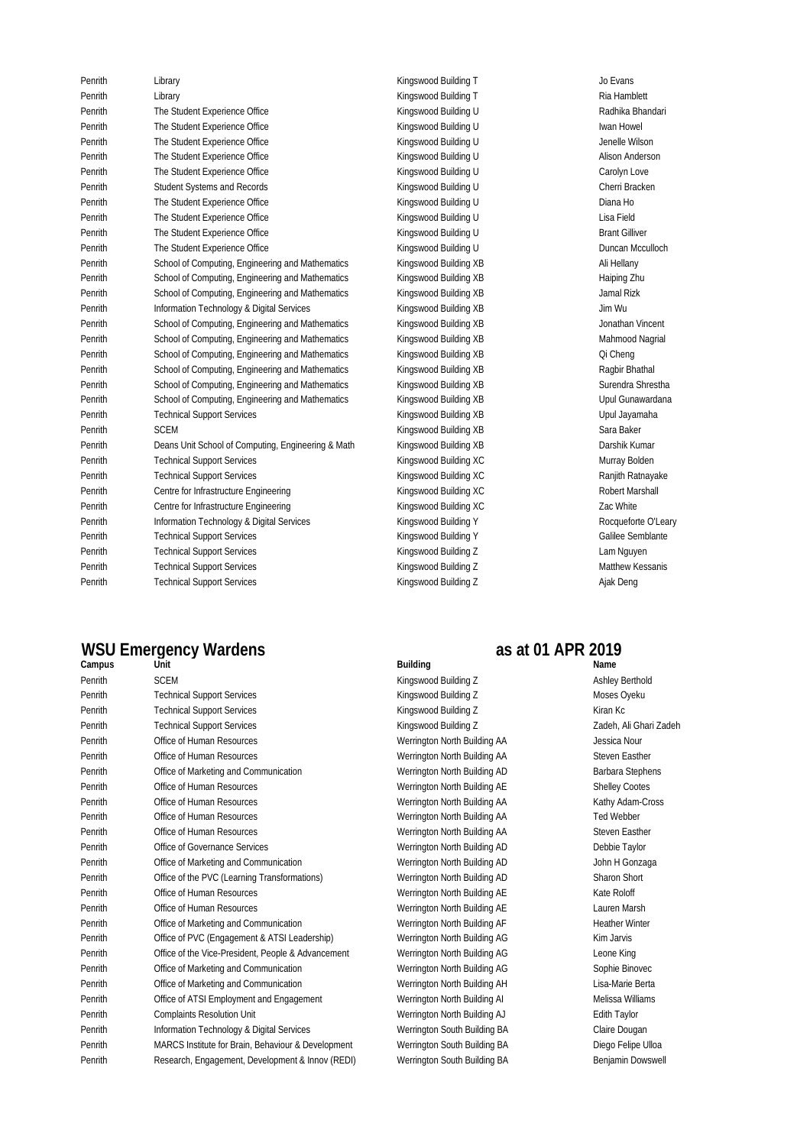Penrith Kingswood Building T Library Jo EvansPenrith Kingswood Building T Library Ria Hamblett Penrith Kingswood Building U The Student Experience Office Radhika Bhandari Penrith The Student Experience Office **Internal Constructs Constructs Constructs** Kingswood Building U and The Student Howel Penrith Kingswood Building U The Student Experience Office Jenelle Wilson Penrith Kingswood Building U The Student Experience Office Alison Anderson Penrith The Student Experience Office Community Carolyn Love Carolyn Love Carolyn Love Penrith Student Systems and Records Cherri Bracken Cherri Bracken (Cherri Bracken Cherri Bracken Cherri Bracken Penrith The Student Experience Office Kingswood Building U Diana Ho Penrith Kingswood Building U The Student Experience Office Lisa Field Penrith Find The Student Experience Office The Student Control of the Student Gilliver Control of the Student Gilliver Student Gilliver Penrith Kingswood Building U The Student Experience Office Duncan Mcculloch Penrith School of Computing, Engineering and Mathematics Kingswood Building XB Ali Hellany Penrith School of Computing, Engineering and Mathematics Kingswood Building XB and the School of Computing Zhu Penrith School of Computing, Engineering and Mathematics Kingswood Building XB Jamal Rizk Penrith Kingswood Building XB Information Technology & Digital Services Jim Wu Penrith School of Computing, Engineering and Mathematics Kingswood Building XB Jonathan Vincent Penrith School of Computing, Engineering and Mathematics Mangswood Building XB and the Mahmood Nagrial Penrith School of Computing, Engineering and Mathematics Kingswood Building XB Computing At Careng Penrith School of Computing, Engineering and Mathematics Kingswood Building XB and Mathematics Ragbir Bhathal Penrith School of Computing, Engineering and Mathematics Kingswood Building XB Surendra Shrestha Penrith School of Computing, Engineering and Mathematics Kingswood Building XB National Dipul Gunawardana Penrith Gechnical Support Services (Person and Alexandre Control of Kingswood Building XB and the Upul Jayamaha Penrith Kingswood Building XB SCEM Sara Baker Penrith Deans Unit School of Computing, Engineering & Math Kingswood Building XB Darshik Kumar Darshik Kumar Penrith **Technical Support Services and Community** Kingswood Building XC Murray Bolden Murray Bolden Penrith Kingswood Building XC Technical Support Services Ranjith Ratnayake Penrith Kingswood Building XC Centre for Infrastructure Engineering Robert Marshall Penrith **Centre for Infrastructure Engineering School Example School Building XC Zac White** Penrith Sand Information Technology & Digital Services (Marktan Schood Building Y North Marktan Schood Building Y Penrith General Support Services (The Control of Microsoft Building Y Alice Semblante Semblante Penrith Kingswood Building Z Technical Support Services Lam Nguyen Penrith Kingswood Building Z Technical Support Services Matthew Kessanis Penrith Kingswood Building Z Technical Support Services Ajak Deng

## **WSU Emergency Wardens as at 01 APR 2019**

| Campus  | Unit                                               | <b>Building</b>              | Name               |
|---------|----------------------------------------------------|------------------------------|--------------------|
| Penrith | <b>SCEM</b>                                        | Kingswood Building Z         | <b>Ashley</b>      |
| Penrith | <b>Technical Support Services</b>                  | Kingswood Building Z         | Mose:              |
| Penrith | <b>Technical Support Services</b>                  | Kingswood Building Z         | Kiran              |
| Penrith | <b>Technical Support Services</b>                  | Kingswood Building Z         | Zader              |
| Penrith | Office of Human Resources                          | Werrington North Building AA | Jessic             |
| Penrith | Office of Human Resources                          | Werrington North Building AA | Stever             |
| Penrith | Office of Marketing and Communication              | Werrington North Building AD | Barba              |
| Penrith | Office of Human Resources                          | Werrington North Building AE | Shelle             |
| Penrith | Office of Human Resources                          | Werrington North Building AA | Kathy              |
| Penrith | Office of Human Resources                          | Werrington North Building AA | Ted W              |
| Penrith | Office of Human Resources                          | Werrington North Building AA | Stever             |
| Penrith | Office of Governance Services                      | Werrington North Building AD | Debbi              |
| Penrith | Office of Marketing and Communication              | Werrington North Building AD | John I             |
| Penrith | Office of the PVC (Learning Transformations)       | Werrington North Building AD | Sharo              |
| Penrith | Office of Human Resources                          | Werrington North Building AE | Kate F             |
| Penrith | Office of Human Resources                          | Werrington North Building AE | Laure              |
| Penrith | Office of Marketing and Communication              | Werrington North Building AF | Heath              |
| Penrith | Office of PVC (Engagement & ATSI Leadership)       | Werrington North Building AG | Kim Ja             |
| Penrith | Office of the Vice-President, People & Advancement | Werrington North Building AG | Leone              |
| Penrith | Office of Marketing and Communication              | Werrington North Building AG | Sophi              |
| Penrith | Office of Marketing and Communication              | Werrington North Building AH | Lisa-N             |
| Penrith | Office of ATSI Employment and Engagement           | Werrington North Building Al | Meliss             |
| Penrith | <b>Complaints Resolution Unit</b>                  | Werrington North Building AJ | Edith <sup>-</sup> |
| Penrith | Information Technology & Digital Services          | Werrington South Building BA | Claire             |
| Penrith | MARCS Institute for Brain, Behaviour & Development | Werrington South Building BA | Diego              |
| Penrith | Research, Engagement, Development & Innov (REDI)   | Werrington South Building BA | Benjar             |

Werrington South Building BA Diego Felipe Ulloa Werrington South Building BA Benjamin Dowswell Werrington North Building AG Leone King Werrington North Building AG Sophie Binovec Werrington North Building AH Lisa-Marie Berta Werrington North Building AI Melissa Williams Werrington North Building AJ **Edith Taylor** Werrington South Building BA Claire Dougan Werrington North Building AD John H Gonzaga Werrington North Building AD Sharon Short Werrington North Building AE Kate Roloff Werrington North Building AE Lauren Marsh Werrington North Building AF Heather Winter Werrington North Building AG Kim Jarvis Werrington North Building AD Barbara Stephens Werrington North Building AE Shelley Cootes Werrington North Building AA Kathy Adam-Cross Werrington North Building AA Ted Webber Werrington North Building AA Steven Easther Werrington North Building AD Debbie Taylor Kingswood Building Z Ashley Berthold Kingswood Building Z Moses Oyeku Kingswood Building Z Kiran Kc Kingswood Building Z **Zadeh, Ali Ghari Zadeh** Werrington North Building AA Jessica Nour Werrington North Building AA Steven Easther